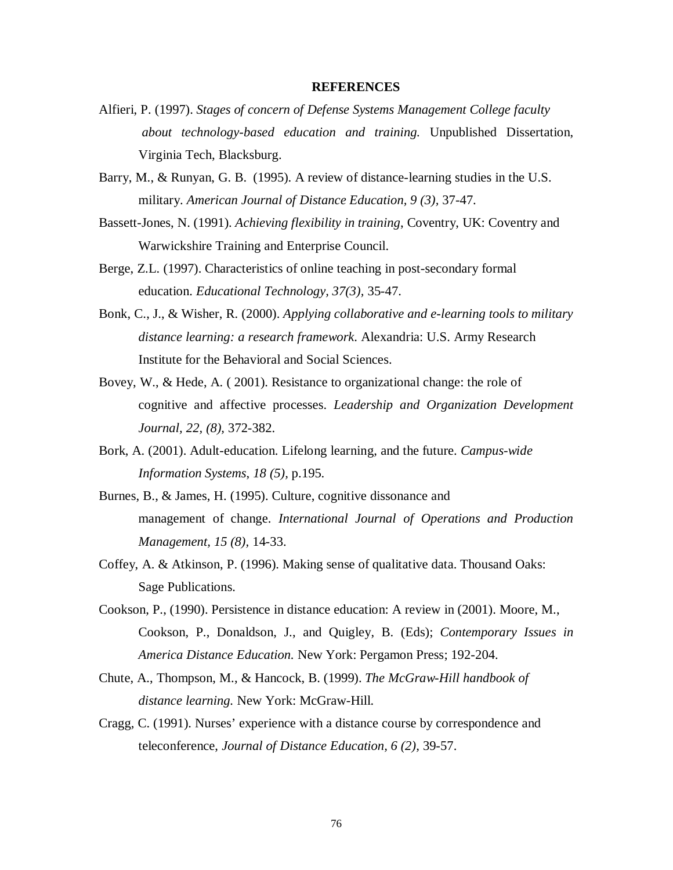## **REFERENCES**

- Alfieri, P. (1997). *Stages of concern of Defense Systems Management College faculty about technology-based education and training.* Unpublished Dissertation, Virginia Tech, Blacksburg.
- Barry, M., & Runyan, G. B. (1995). A review of distance-learning studies in the U.S. military. *American Journal of Distance Education, 9 (3),* 37-47.
- Bassett-Jones, N. (1991). *Achieving flexibility in training*, Coventry, UK: Coventry and Warwickshire Training and Enterprise Council.
- Berge, Z.L. (1997). Characteristics of online teaching in post-secondary formal education. *Educational Technology, 37(3),* 35-47.
- Bonk, C., J., & Wisher, R. (2000). *Applying collaborative and e-learning tools to military distance learning: a research framework*. Alexandria: U.S. Army Research Institute for the Behavioral and Social Sciences.
- Bovey, W., & Hede, A. ( 2001). Resistance to organizational change: the role of cognitive and affective processes. *Leadership and Organization Development Journal, 22, (8),* 372-382.
- Bork, A. (2001). Adult-education. Lifelong learning, and the future. *Campus-wide Information Systems*, *18 (5),* p.195.
- Burnes, B., & James, H. (1995). Culture, cognitive dissonance and management of change. *International Journal of Operations and Production Management, 15 (8),* 14-33.
- Coffey, A. & Atkinson, P. (1996). Making sense of qualitative data. Thousand Oaks: Sage Publications.
- Cookson, P., (1990). Persistence in distance education: A review in (2001). Moore, M., Cookson, P., Donaldson, J., and Quigley, B. (Eds); *Contemporary Issues in America Distance Education.* New York: Pergamon Press; 192-204.
- Chute, A., Thompson, M., & Hancock, B. (1999). *The McGraw-Hill handbook of distance learning.* New York: McGraw-Hill.
- Cragg, C. (1991). Nurses' experience with a distance course by correspondence and teleconference, *Journal of Distance Education, 6 (2),* 39-57.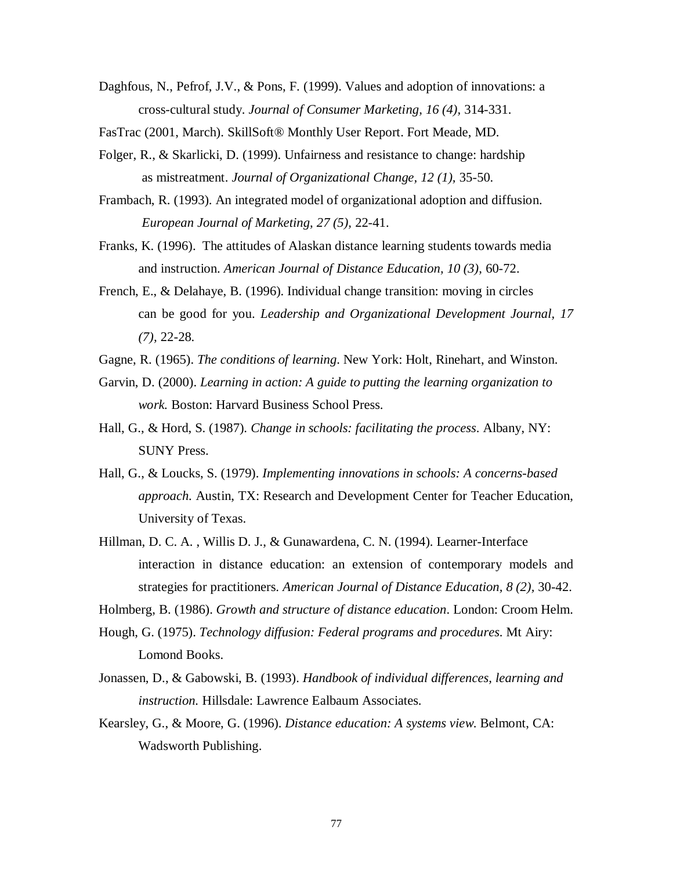- Daghfous, N., Pefrof, J.V., & Pons, F. (1999). Values and adoption of innovations: a cross-cultural study. *Journal of Consumer Marketing, 16 (4),* 314-331.
- FasTrac (2001, March). SkillSoft® Monthly User Report. Fort Meade, MD.
- Folger, R., & Skarlicki, D. (1999). Unfairness and resistance to change: hardship as mistreatment. *Journal of Organizational Change, 12 (1),* 35-50.
- Frambach, R. (1993). An integrated model of organizational adoption and diffusion. *European Journal of Marketing, 27 (5),* 22-41.
- Franks, K. (1996). The attitudes of Alaskan distance learning students towards media and instruction. *American Journal of Distance Education, 10 (3),* 60-72.
- French, E., & Delahaye, B. (1996). Individual change transition: moving in circles can be good for you. *Leadership and Organizational Development Journal, 17 (7),* 22-28.
- Gagne, R. (1965). *The conditions of learning*. New York: Holt, Rinehart, and Winston.
- Garvin, D. (2000). *Learning in action: A guide to putting the learning organization to work.* Boston: Harvard Business School Press.
- Hall, G., & Hord, S. (1987). *Change in schools: facilitating the process*. Albany, NY: SUNY Press.
- Hall, G., & Loucks, S. (1979). *Implementing innovations in schools: A concerns-based approach.* Austin, TX: Research and Development Center for Teacher Education, University of Texas.
- Hillman, D. C. A. , Willis D. J., & Gunawardena, C. N. (1994). Learner-Interface interaction in distance education: an extension of contemporary models and strategies for practitioners. *American Journal of Distance Education, 8 (2),* 30-42.
- Holmberg, B. (1986). *Growth and structure of distance education*. London: Croom Helm.
- Hough, G. (1975). *Technology diffusion: Federal programs and procedures*. Mt Airy: Lomond Books.
- Jonassen, D., & Gabowski, B. (1993). *Handbook of individual differences, learning and instruction.* Hillsdale: Lawrence Ealbaum Associates.
- Kearsley, G., & Moore, G. (1996). *Distance education: A systems view*. Belmont, CA: Wadsworth Publishing.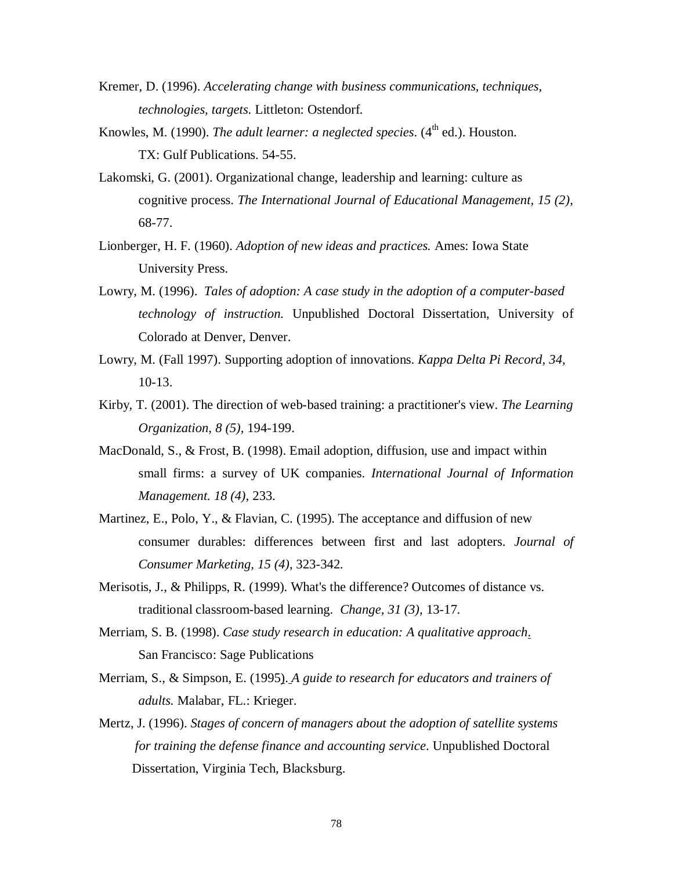- Kremer, D. (1996). *Accelerating change with business communications, techniques, technologies, targets*. Littleton: Ostendorf.
- Knowles, M. (1990). *The adult learner: a neglected species*.  $(4^{\text{th}}$  ed.). Houston. TX: Gulf Publications. 54-55.
- Lakomski, G. (2001). Organizational change, leadership and learning: culture as cognitive process. *The International Journal of Educational Management, 15 (2),* 68-77.
- Lionberger, H. F. (1960). *Adoption of new ideas and practices.* Ames: Iowa State University Press.
- Lowry, M. (1996). *Tales of adoption: A case study in the adoption of a computer-based technology of instruction.* Unpublished Doctoral Dissertation, University of Colorado at Denver, Denver.
- Lowry, M. (Fall 1997). Supporting adoption of innovations. *Kappa Delta Pi Record, 34,* 10-13.
- Kirby, T. (2001). The direction of web-based training: a practitioner's view. *The Learning Organization, 8 (5),* 194-199.
- MacDonald, S., & Frost, B. (1998). Email adoption, diffusion, use and impact within small firms: a survey of UK companies. *International Journal of Information Management. 18 (4),* 233.
- Martinez, E., Polo, Y., & Flavian, C. (1995). The acceptance and diffusion of new consumer durables: differences between first and last adopters. *Journal of Consumer Marketing, 15 (4)*, 323-342.
- Merisotis, J., & Philipps, R. (1999). What's the difference? Outcomes of distance vs. traditional classroom-based learning. *Change, 31 (3),* 13-17.
- Merriam, S. B. (1998). *Case study research in education: A qualitative approach*. San Francisco: Sage Publications
- Merriam, S., & Simpson, E. (1995). *A guide to research for educators and trainers of adults.* Malabar, FL.: Krieger.
- Mertz, J. (1996). *Stages of concern of managers about the adoption of satellite systems for training the defense finance and accounting service*. Unpublished Doctoral Dissertation, Virginia Tech, Blacksburg.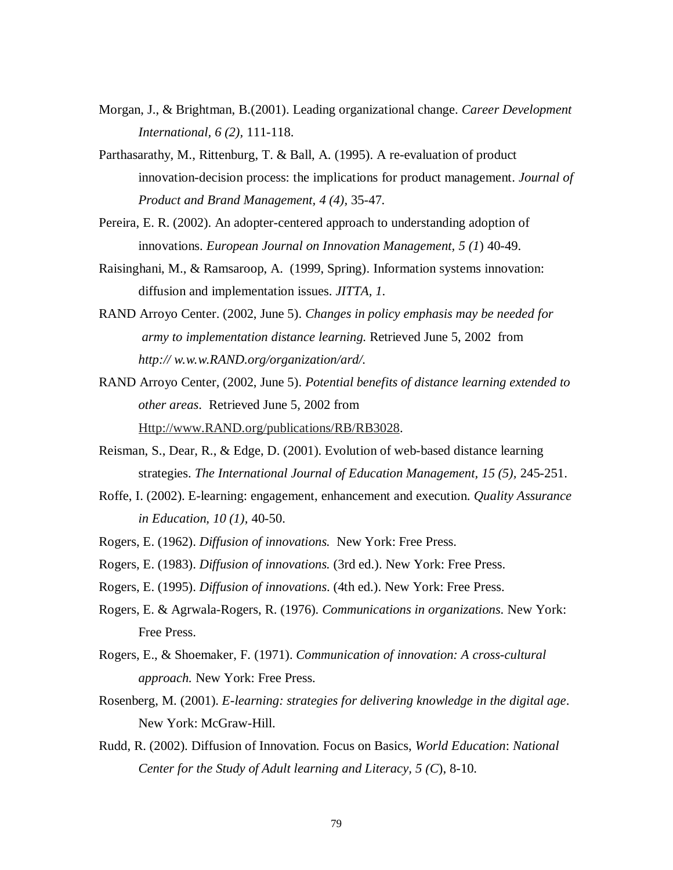- Morgan, J., & Brightman, B.(2001). Leading organizational change. *Career Development International, 6 (2),* 111-118.
- Parthasarathy, M., Rittenburg, T. & Ball, A. (1995). A re-evaluation of product innovation-decision process: the implications for product management. *Journal of Product and Brand Management, 4 (4),* 35-47.
- Pereira, E. R. (2002). An adopter-centered approach to understanding adoption of innovations. *European Journal on Innovation Management, 5 (1*) 40-49.
- Raisinghani, M., & Ramsaroop, A. (1999, Spring). Information systems innovation: diffusion and implementation issues. *JITTA, 1*.
- RAND Arroyo Center. (2002, June 5). *Changes in policy emphasis may be needed for army to implementation distance learning.* Retrieved June 5, 2002 from *http:// w.w.w.RAND.org/organization/ard/.*
- RAND Arroyo Center, (2002, June 5). *Potential benefits of distance learning extended to other areas*. Retrieved June 5, 2002 from Http://www.RAND.org/publications/RB/RB3028.
- Reisman, S., Dear, R., & Edge, D. (2001). Evolution of web-based distance learning strategies. *The International Journal of Education Management, 15 (5),* 245-251.
- Roffe, I. (2002). E-learning: engagement, enhancement and execution. *Quality Assurance in Education, 10 (1),* 40-50.
- Rogers, E. (1962). *Diffusion of innovations.* New York: Free Press.
- Rogers, E. (1983). *Diffusion of innovations.* (3rd ed.). New York: Free Press.
- Rogers, E. (1995). *Diffusion of innovations*. (4th ed.). New York: Free Press.
- Rogers, E. & Agrwala-Rogers, R. (1976). *Communications in organizations*. New York: Free Press.
- Rogers, E., & Shoemaker, F. (1971). *Communication of innovation: A cross-cultural approach.* New York: Free Press.
- Rosenberg, M. (2001). *E-learning: strategies for delivering knowledge in the digital age*. New York: McGraw-Hill.
- Rudd, R. (2002). Diffusion of Innovation. Focus on Basics, *World Education*: *National Center for the Study of Adult learning and Literacy, 5 (C*), 8-10.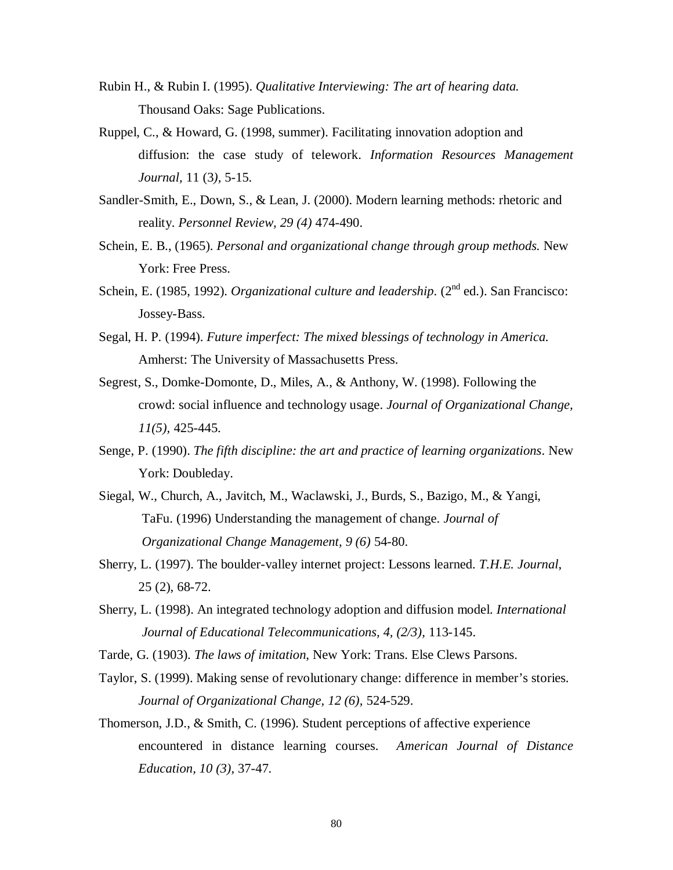- Rubin H., & Rubin I. (1995). *Qualitative Interviewing: The art of hearing data.*  Thousand Oaks: Sage Publications.
- Ruppel, C., & Howard, G. (1998, summer). Facilitating innovation adoption and diffusion: the case study of telework. *Information Resources Management Journal,* 11 (3*),* 5-15.
- Sandler-Smith, E., Down, S., & Lean, J. (2000). Modern learning methods: rhetoric and reality. *Personnel Review, 29 (4)* 474-490.
- Schein, E. B., (1965). *Personal and organizational change through group methods.* New York: Free Press.
- Schein, E. (1985, 1992). *Organizational culture and leadership*. (2<sup>nd</sup> ed.). San Francisco: Jossey-Bass.
- Segal, H. P. (1994). *Future imperfect: The mixed blessings of technology in America.*  Amherst: The University of Massachusetts Press.
- Segrest, S., Domke-Domonte, D., Miles, A., & Anthony, W. (1998). Following the crowd: social influence and technology usage. *Journal of Organizational Change, 11(5),* 425-445.
- Senge, P. (1990). *The fifth discipline: the art and practice of learning organizations*. New York: Doubleday.
- Siegal, W., Church, A., Javitch, M., Waclawski, J., Burds, S., Bazigo, M., & Yangi, TaFu. (1996) Understanding the management of change. *Journal of Organizational Change Management, 9 (6)* 54-80.
- Sherry, L. (1997). The boulder-valley internet project: Lessons learned. *T.H.E. Journal*, 25 (2), 68-72.
- Sherry, L. (1998). An integrated technology adoption and diffusion model. *International Journal of Educational Telecommunications, 4, (2/3),* 113-145.
- Tarde, G. (1903). *The laws of imitation*, New York: Trans. Else Clews Parsons.
- Taylor, S. (1999). Making sense of revolutionary change: difference in member's stories. *Journal of Organizational Change, 12 (6),* 524-529.
- Thomerson, J.D., & Smith, C. (1996). Student perceptions of affective experience encountered in distance learning courses. *American Journal of Distance Education, 10 (3),* 37-47.